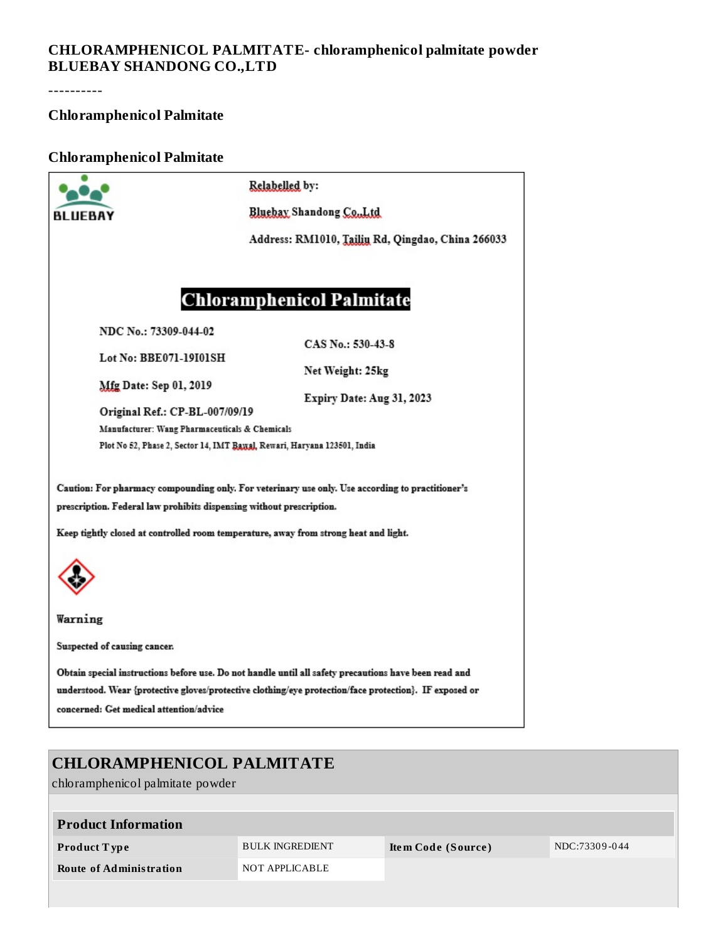### **CHLORAMPHENICOL PALMITATE- chloramphenicol palmitate powder BLUEBAY SHANDONG CO.,LTD**

----------

## **Chloramphenicol Palmitate**

#### **Chloramphenicol Palmitate**

|                                                                                                                                                                                                                                                                  | Relabelled by:                                    |  |  |  |  |  |  |
|------------------------------------------------------------------------------------------------------------------------------------------------------------------------------------------------------------------------------------------------------------------|---------------------------------------------------|--|--|--|--|--|--|
| BI IIFBAY                                                                                                                                                                                                                                                        | Bluebay Shandong Co., Ltd                         |  |  |  |  |  |  |
|                                                                                                                                                                                                                                                                  | Address: RM1010, Tailin Rd, Qingdao, China 266033 |  |  |  |  |  |  |
| <b>Chloramphenicol Palmitate</b><br>NDC No.: 73309-044-02<br>CAS No.: 530-43-8<br>Lot No: BBE071-19101SH                                                                                                                                                         |                                                   |  |  |  |  |  |  |
| Mfg Date: Sep 01, 2019                                                                                                                                                                                                                                           | Net Weight: 25kg                                  |  |  |  |  |  |  |
| Original Ref.: CP-BL-007/09/19<br>Manufacturer: Wang Pharmaceuticals & Chemicals                                                                                                                                                                                 | Expiry Date: Aug 31, 2023                         |  |  |  |  |  |  |
| Plot No 52, Phase 2, Sector 14, IMT Baysal, Rewari, Haryana 123501, India                                                                                                                                                                                        |                                                   |  |  |  |  |  |  |
| Caution: For pharmacy compounding only. For veterinary use only. Use according to practitioner's<br>prescription. Federal law prohibits dispensing without prescription.<br>Keep tightly closed at controlled room temperature, away from strong heat and light. |                                                   |  |  |  |  |  |  |
|                                                                                                                                                                                                                                                                  |                                                   |  |  |  |  |  |  |
| Warning                                                                                                                                                                                                                                                          |                                                   |  |  |  |  |  |  |
| Suspected of causing cancer.                                                                                                                                                                                                                                     |                                                   |  |  |  |  |  |  |
| Obtain special instructions before use. Do not handle until all safety precautions have been read and<br>understood. Wear {protective gloves/protective clothing/eye protection/face protection}. IF exposed or<br>concerned: Get medical attention/advice       |                                                   |  |  |  |  |  |  |
|                                                                                                                                                                                                                                                                  |                                                   |  |  |  |  |  |  |

# **CHLORAMPHENICOL PALMITATE**

chloramphenicol palmitate powder

| <b>Product Information</b> |                        |                    |               |
|----------------------------|------------------------|--------------------|---------------|
| Product Type               | <b>BULK INGREDIENT</b> | Item Code (Source) | NDC:73309-044 |
| Route of Administration    | NOT APPLICABLE         |                    |               |